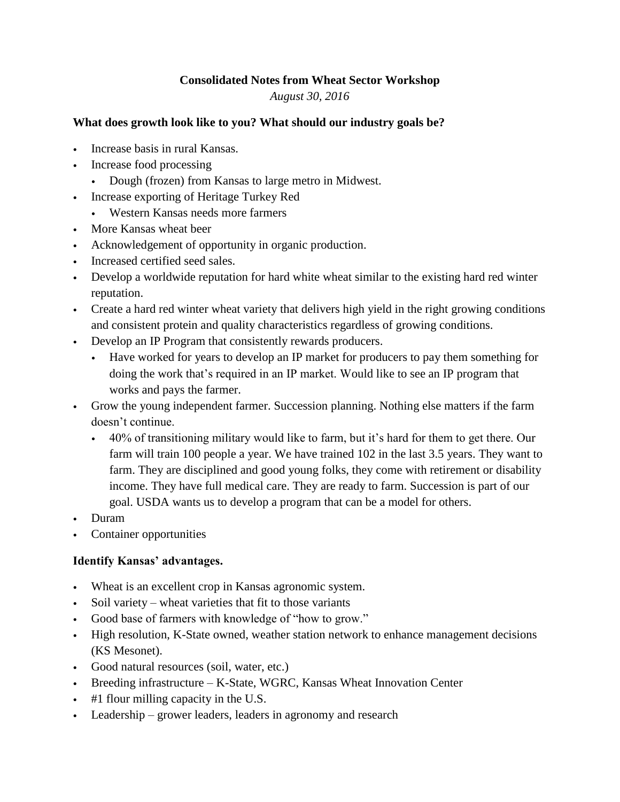# **Consolidated Notes from Wheat Sector Workshop**

*August 30, 2016*

#### **What does growth look like to you? What should our industry goals be?**

- Increase basis in rural Kansas.
- Increase food processing
	- Dough (frozen) from Kansas to large metro in Midwest.
- Increase exporting of Heritage Turkey Red
	- Western Kansas needs more farmers
- More Kansas wheat beer
- Acknowledgement of opportunity in organic production.
- Increased certified seed sales.
- Develop a worldwide reputation for hard white wheat similar to the existing hard red winter reputation.
- Create a hard red winter wheat variety that delivers high yield in the right growing conditions and consistent protein and quality characteristics regardless of growing conditions.
- Develop an IP Program that consistently rewards producers.
	- Have worked for years to develop an IP market for producers to pay them something for doing the work that's required in an IP market. Would like to see an IP program that works and pays the farmer.
- Grow the young independent farmer. Succession planning. Nothing else matters if the farm doesn't continue.
	- 40% of transitioning military would like to farm, but it's hard for them to get there. Our farm will train 100 people a year. We have trained 102 in the last 3.5 years. They want to farm. They are disciplined and good young folks, they come with retirement or disability income. They have full medical care. They are ready to farm. Succession is part of our goal. USDA wants us to develop a program that can be a model for others.
- Duram
- Container opportunities

## **Identify Kansas' advantages.**

- Wheat is an excellent crop in Kansas agronomic system.
- Soil variety wheat varieties that fit to those variants
- Good base of farmers with knowledge of "how to grow."
- High resolution, K-State owned, weather station network to enhance management decisions (KS Mesonet).
- Good natural resources (soil, water, etc.)
- Breeding infrastructure K-State, WGRC, Kansas Wheat Innovation Center
- #1 flour milling capacity in the U.S.
- Leadership grower leaders, leaders in agronomy and research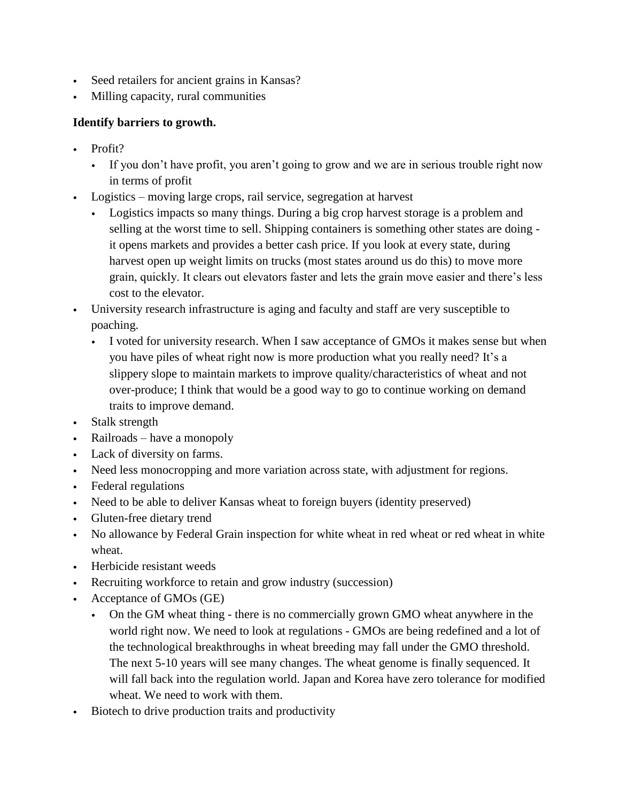- Seed retailers for ancient grains in Kansas?
- Milling capacity, rural communities

### **Identify barriers to growth.**

- Profit?
	- If you don't have profit, you aren't going to grow and we are in serious trouble right now in terms of profit
- Logistics moving large crops, rail service, segregation at harvest
	- Logistics impacts so many things. During a big crop harvest storage is a problem and selling at the worst time to sell. Shipping containers is something other states are doing it opens markets and provides a better cash price. If you look at every state, during harvest open up weight limits on trucks (most states around us do this) to move more grain, quickly. It clears out elevators faster and lets the grain move easier and there's less cost to the elevator.
- University research infrastructure is aging and faculty and staff are very susceptible to poaching.
	- I voted for university research. When I saw acceptance of GMOs it makes sense but when you have piles of wheat right now is more production what you really need? It's a slippery slope to maintain markets to improve quality/characteristics of wheat and not over-produce; I think that would be a good way to go to continue working on demand traits to improve demand.
- Stalk strength
- Railroads have a monopoly
- Lack of diversity on farms.
- Need less monocropping and more variation across state, with adjustment for regions.
- Federal regulations
- Need to be able to deliver Kansas wheat to foreign buyers (identity preserved)
- Gluten-free dietary trend
- No allowance by Federal Grain inspection for white wheat in red wheat or red wheat in white wheat.
- Herbicide resistant weeds
- Recruiting workforce to retain and grow industry (succession)
- Acceptance of GMOs (GE)
	- On the GM wheat thing there is no commercially grown GMO wheat anywhere in the world right now. We need to look at regulations - GMOs are being redefined and a lot of the technological breakthroughs in wheat breeding may fall under the GMO threshold. The next 5-10 years will see many changes. The wheat genome is finally sequenced. It will fall back into the regulation world. Japan and Korea have zero tolerance for modified wheat. We need to work with them.
- Biotech to drive production traits and productivity